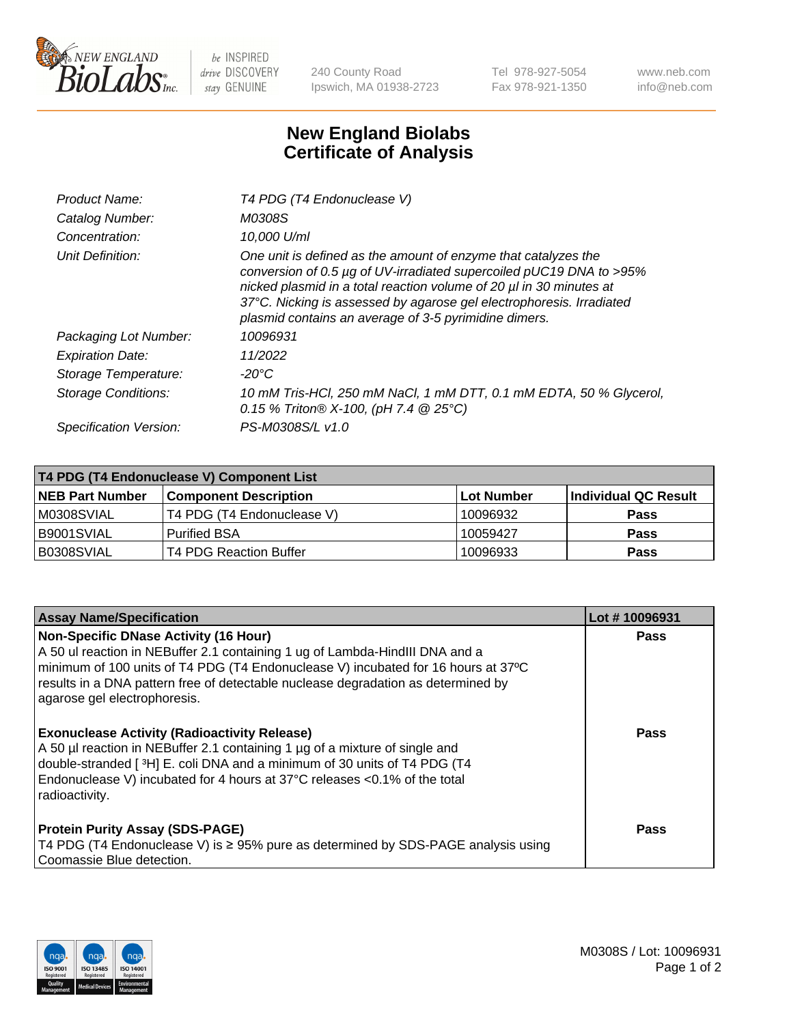

 $be$  INSPIRED drive DISCOVERY stay GENUINE

240 County Road Ipswich, MA 01938-2723 Tel 978-927-5054 Fax 978-921-1350 www.neb.com info@neb.com

## **New England Biolabs Certificate of Analysis**

| Product Name:              | T4 PDG (T4 Endonuclease V)                                                                                                                                                                                                                                                                                                                    |
|----------------------------|-----------------------------------------------------------------------------------------------------------------------------------------------------------------------------------------------------------------------------------------------------------------------------------------------------------------------------------------------|
| Catalog Number:            | M0308S                                                                                                                                                                                                                                                                                                                                        |
| Concentration:             | 10.000 U/ml                                                                                                                                                                                                                                                                                                                                   |
| Unit Definition:           | One unit is defined as the amount of enzyme that catalyzes the<br>conversion of 0.5 µg of UV-irradiated supercoiled pUC19 DNA to >95%<br>nicked plasmid in a total reaction volume of 20 µl in 30 minutes at<br>37°C. Nicking is assessed by agarose gel electrophoresis. Irradiated<br>plasmid contains an average of 3-5 pyrimidine dimers. |
| Packaging Lot Number:      | 10096931                                                                                                                                                                                                                                                                                                                                      |
| <b>Expiration Date:</b>    | 11/2022                                                                                                                                                                                                                                                                                                                                       |
| Storage Temperature:       | $-20^{\circ}$ C                                                                                                                                                                                                                                                                                                                               |
| <b>Storage Conditions:</b> | 10 mM Tris-HCl, 250 mM NaCl, 1 mM DTT, 0.1 mM EDTA, 50 % Glycerol,<br>0.15 % Triton® X-100, (pH 7.4 @ 25°C)                                                                                                                                                                                                                                   |
| Specification Version:     | PS-M0308S/L v1.0                                                                                                                                                                                                                                                                                                                              |

| T4 PDG (T4 Endonuclease V) Component List |                              |             |                      |  |
|-------------------------------------------|------------------------------|-------------|----------------------|--|
| <b>NEB Part Number</b>                    | <b>Component Description</b> | ⊺Lot Number | Individual QC Result |  |
| IM0308SVIAL                               | T4 PDG (T4 Endonuclease V)   | 10096932    | <b>Pass</b>          |  |
| IB9001SVIAL                               | <b>Purified BSA</b>          | 10059427    | <b>Pass</b>          |  |
| B0308SVIAL                                | T4 PDG Reaction Buffer       | 10096933    | Pass                 |  |

| <b>Assay Name/Specification</b>                                                                                                                                                                                                                                                                                                        | Lot #10096931 |
|----------------------------------------------------------------------------------------------------------------------------------------------------------------------------------------------------------------------------------------------------------------------------------------------------------------------------------------|---------------|
| <b>Non-Specific DNase Activity (16 Hour)</b><br>A 50 ul reaction in NEBuffer 2.1 containing 1 ug of Lambda-HindIII DNA and a<br>minimum of 100 units of T4 PDG (T4 Endonuclease V) incubated for 16 hours at 37°C<br>results in a DNA pattern free of detectable nuclease degradation as determined by<br>agarose gel electrophoresis. | <b>Pass</b>   |
| <b>Exonuclease Activity (Radioactivity Release)</b><br>A 50 µl reaction in NEBuffer 2.1 containing 1 µg of a mixture of single and<br>double-stranded [3H] E. coli DNA and a minimum of 30 units of T4 PDG (T4<br>Endonuclease V) incubated for 4 hours at 37°C releases <0.1% of the total<br>radioactivity.                          | <b>Pass</b>   |
| <b>Protein Purity Assay (SDS-PAGE)</b><br>T4 PDG (T4 Endonuclease V) is ≥ 95% pure as determined by SDS-PAGE analysis using<br>Coomassie Blue detection.                                                                                                                                                                               | Pass          |